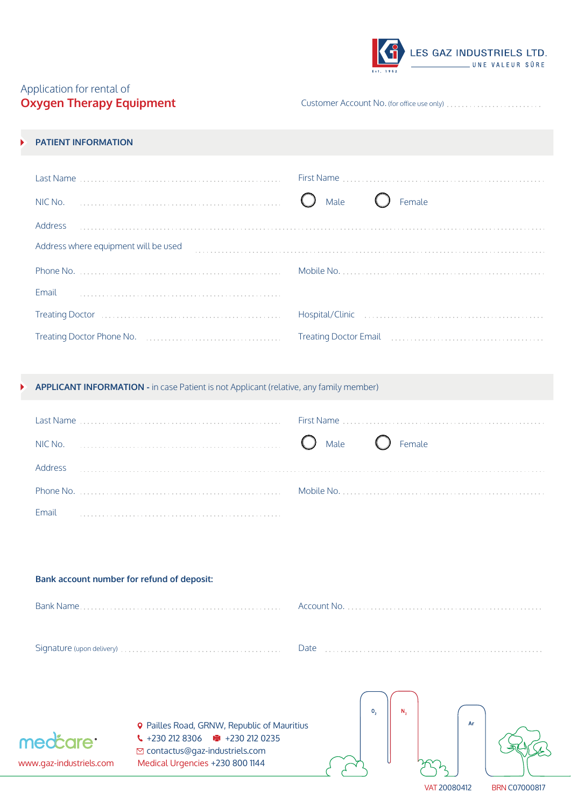|           | LES GAZ INDUSTRIELS LTD. | UNE VALEUR SÛRE |  |
|-----------|--------------------------|-----------------|--|
| Est. 1952 |                          |                 |  |

## Application for rental of **Oxygen Therapy Equipment**

Customer Account No. (for office use only)

## **PATIENT INFORMATION**

| Last Name                            | First Name       |
|--------------------------------------|------------------|
|                                      | Male (<br>Female |
| Address                              |                  |
| Address where equipment will be used |                  |
|                                      |                  |
| Phone No.                            |                  |
| Email                                |                  |
|                                      |                  |

**APPLICANT INFORMATION -** in case Patient is not Applicant (relative, any family member)

| NIC No. | $\bigcirc$ Male $\bigcirc$ Female |  |  |
|---------|-----------------------------------|--|--|
| Address |                                   |  |  |
|         |                                   |  |  |
| Email   |                                   |  |  |

| Bank account number for refund of deposit: |  |
|--------------------------------------------|--|
| Bank Name                                  |  |
|                                            |  |



**9** Pailles Road, GRNW, Republic of Mauritius  $\binom{12802128306}{4}$  +230 212 0235 contactus@gaz-industriels.com www.gaz-industriels.com Medical Urgencies +230 800 1144